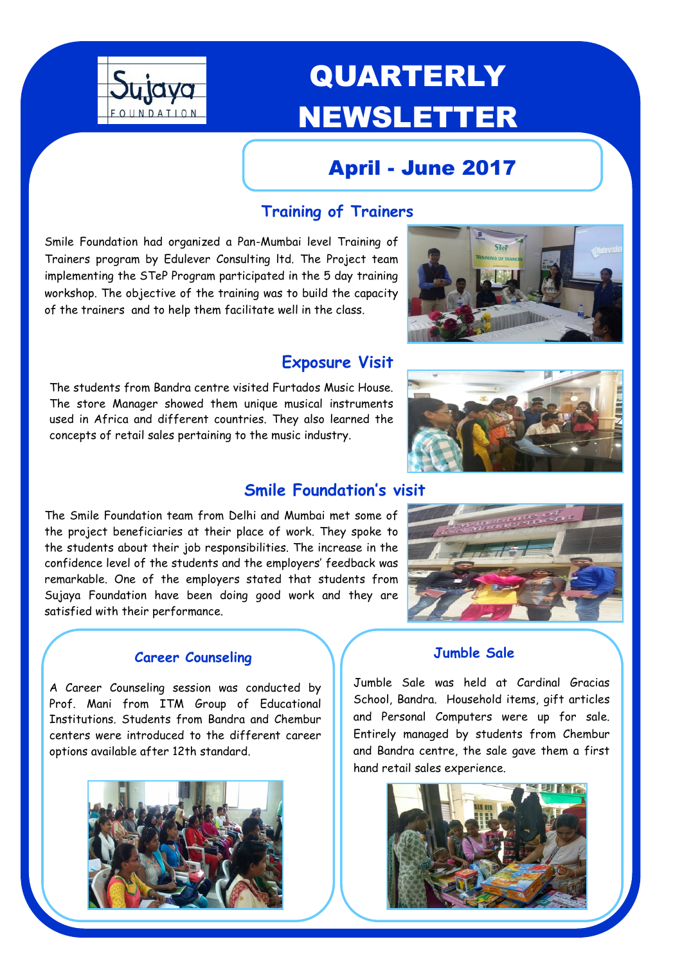

# QUARTERLY NEWSLETTER

## April - June 2017

### **Training of Trainers**

Smile Foundation had organized a Pan-Mumbai level Training of Trainers program by Edulever Consulting ltd. The Project team implementing the STeP Program participated in the 5 day training workshop. The objective of the training was to build the capacity of the trainers and to help them facilitate well in the class.

### **Exposure Visit**

The students from Bandra centre visited Furtados Music House. The store Manager showed them unique musical instruments used in Africa and different countries. They also learned the concepts of retail sales pertaining to the music industry.

### **Smile Foundation's visit**

The Smile Foundation team from Delhi and Mumbai met some of the project beneficiaries at their place of work. They spoke to the students about their job responsibilities. The increase in the confidence level of the students and the employers' feedback was remarkable. One of the employers stated that students from Sujaya Foundation have been doing good work and they are satisfied with their performance.

### **Jumble Sale Career Counseling**

A Career Counseling session was conducted by Prof. Mani from ITM Group of Educational Institutions. Students from Bandra and Chembur centers were introduced to the different career options available after 12th standard.









Jumble Sale was held at Cardinal Gracias School, Bandra. Household items, gift articles and Personal Computers were up for sale. Entirely managed by students from Chembur and Bandra centre, the sale gave them a first hand retail sales experience.

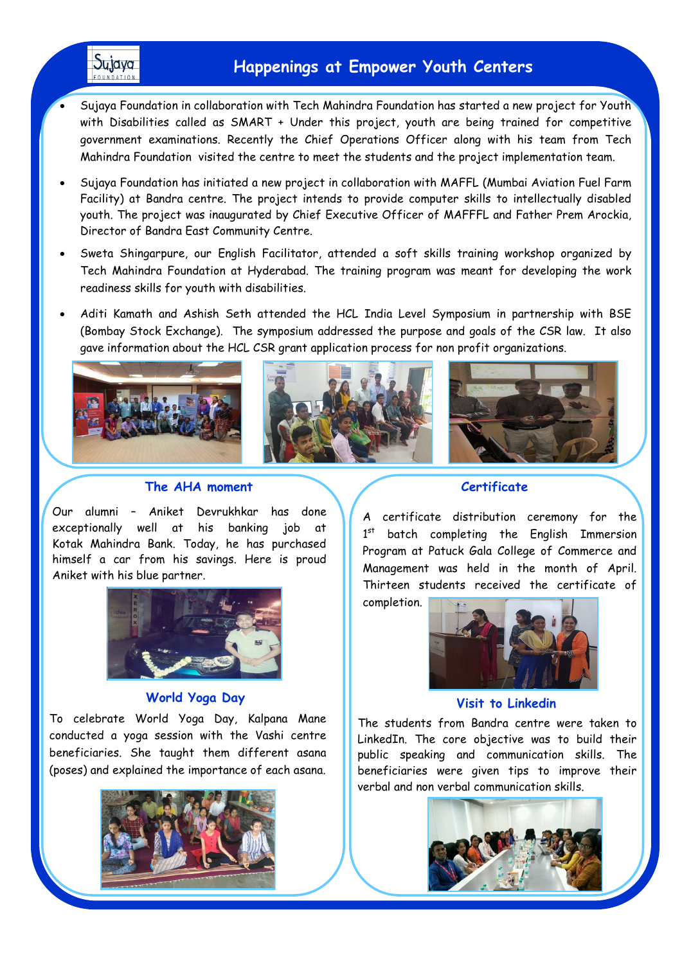### **Happenings at Empower Youth Centers**

- Sujaya Foundation in collaboration with Tech Mahindra Foundation has started a new project for Youth with Disabilities called as SMART + Under this project, youth are being trained for competitive government examinations. Recently the Chief Operations Officer along with his team from Tech Mahindra Foundation visited the centre to meet the students and the project implementation team.
- Sujaya Foundation has initiated a new project in collaboration with MAFFL (Mumbai Aviation Fuel Farm Facility) at Bandra centre. The project intends to provide computer skills to intellectually disabled youth. The project was inaugurated by Chief Executive Officer of MAFFFL and Father Prem Arockia, Director of Bandra East Community Centre.
- Sweta Shingarpure, our English Facilitator, attended a soft skills training workshop organized by Tech Mahindra Foundation at Hyderabad. The training program was meant for developing the work readiness skills for youth with disabilities.
- Aditi Kamath and Ashish Seth attended the HCL India Level Symposium in partnership with BSE (Bombay Stock Exchange). The symposium addressed the purpose and goals of the CSR law. It also gave information about the HCL CSR grant application process for non profit organizations.



### **The AHA moment**

Sujaya

Our alumni – Aniket Devrukhkar has done exceptionally well at his banking job at Kotak Mahindra Bank. Today, he has purchased himself a car from his savings. Here is proud Aniket with his blue partner.



#### **World Yoga Day**

To celebrate World Yoga Day, Kalpana Mane conducted a yoga session with the Vashi centre beneficiaries. She taught them different asana (poses) and explained the importance of each asana.



#### **Certificate**

A certificate distribution ceremony for the 1<sup>st</sup> batch completing the English Immersion Program at Patuck Gala College of Commerce and Management was held in the month of April. Thirteen students received the certificate of

completion.



#### **Visit to Linkedin**

The students from Bandra centre were taken to LinkedIn. The core objective was to build their public speaking and communication skills. The beneficiaries were given tips to improve their verbal and non verbal communication skills.